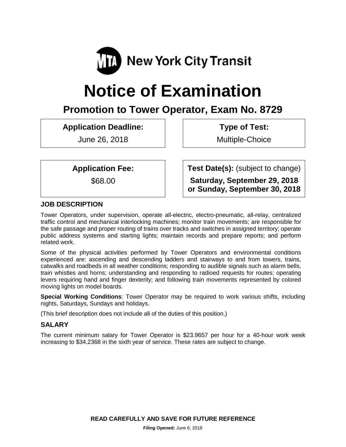

# **Notice of Examination**

# **Promotion to Tower Operator, Exam No. 8729**

**Application Deadline:**

June 26, 2018

**Type of Test:** 

Multiple-Choice

**Test Date(s):** (subject to change)

**Saturday, September 29, 2018 or Sunday, September 30, 2018**

**Application Fee:**

\$68.00

**JOB DESCRIPTION**

Tower Operators, under supervision, operate all-electric, electro-pneumatic, all-relay, centralized traffic control and mechanical interlocking machines; monitor train movements; are responsible for the safe passage and proper routing of trains over tracks and switches in assigned territory; operate public address systems and starting lights; maintain records and prepare reports; and perform related work.

Some of the physical activities performed by Tower Operators and environmental conditions experienced are: ascending and descending ladders and stairways to and from towers, trains, catwalks and roadbeds in all weather conditions; responding to audible signals such as alarm bells, train whistles and horns; understanding and responding to radioed requests for routes; operating levers requiring hand and finger dexterity; and following train movements represented by colored moving lights on model boards.

**Special Working Conditions**: Tower Operator may be required to work various shifts, including nights, Saturdays, Sundays and holidays.

(This brief description does not include all of the duties of this position.)

# **SALARY**

The current minimum salary for Tower Operator is \$23.9657 per hour for a 40-hour work week increasing to \$34.2368 in the sixth year of service. These rates are subject to change.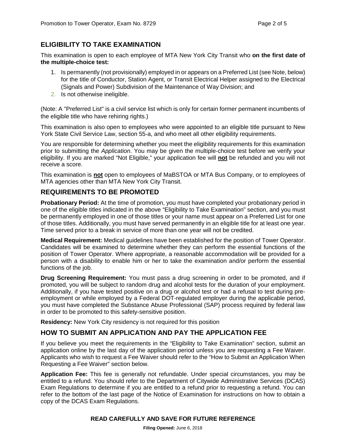# **ELIGIBILITY TO TAKE EXAMINATION**

This examination is open to each employee of MTA New York City Transit who **on the first date of the multiple-choice test:**

- 1. Is permanently (not provisionally) employed in or appears on a Preferred List (see Note, below) for the title of Conductor, Station Agent, or Transit Electrical Helper assigned to the Electrical (Signals and Power) Subdivision of the Maintenance of Way Division; and
- 2. Is not otherwise ineligible.

(Note: A "Preferred List" is a civil service list which is only for certain former permanent incumbents of the eligible title who have rehiring rights.)

This examination is also open to employees who were appointed to an eligible title pursuant to New York State Civil Service Law, section 55-a, and who meet all other eligibility requirements.

You are responsible for determining whether you meet the eligibility requirements for this examination prior to submitting the *Application*. You may be given the multiple-choice test before we verify your eligibility. If you are marked "Not Eligible," your application fee will **not** be refunded and you will not receive a score.

This examination is **not** open to employees of MaBSTOA or MTA Bus Company, or to employees of MTA agencies other than MTA New York City Transit.

#### **REQUIREMENTS TO BE PROMOTED**

**Probationary Period:** At the time of promotion, you must have completed your probationary period in one of the eligible titles indicated in the above "Eligibility to Take Examination" section, and you must be permanently employed in one of those titles or your name must appear on a Preferred List for one of those titles. Additionally, you must have served permanently in an eligible title for at least one year. Time served prior to a break in service of more than one year will not be credited.

**Medical Requirement:** Medical guidelines have been established for the position of Tower Operator. Candidates will be examined to determine whether they can perform the essential functions of the position of Tower Operator. Where appropriate, a reasonable accommodation will be provided for a person with a disability to enable him or her to take the examination and/or perform the essential functions of the job.

**Drug Screening Requirement:** You must pass a drug screening in order to be promoted, and if promoted, you will be subject to random drug and alcohol tests for the duration of your employment. Additionally, if you have tested positive on a drug or alcohol test or had a refusal to test during preemployment or while employed by a Federal DOT-regulated employer during the applicable period, you must have completed the Substance Abuse Professional (SAP) process required by federal law in order to be promoted to this safety-sensitive position.

**Residency:** New York City residency is not required for this position

# **HOW TO SUBMIT AN APPLICATION AND PAY THE APPLICATION FEE**

If you believe you meet the requirements in the "Eligibility to Take Examination" section, submit an application online by the last day of the application period unless you are requesting a Fee Waiver. Applicants who wish to request a Fee Waiver should refer to the "How to Submit an Application When Requesting a Fee Waiver" section below.

**Application Fee:** This fee is generally not refundable. Under special circumstances, you may be entitled to a refund. You should refer to the Department of Citywide Administrative Services (DCAS) Exam Regulations to determine if you are entitled to a refund prior to requesting a refund. You can refer to the bottom of the last page of the Notice of Examination for instructions on how to obtain a copy of the DCAS Exam Regulations.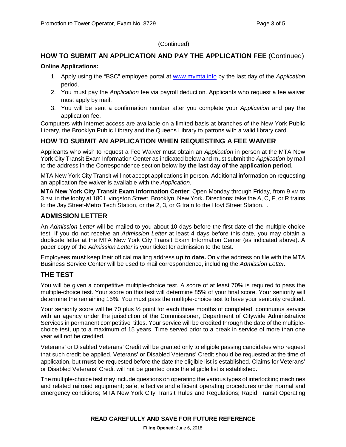#### (Continued)

# **HOW TO SUBMIT AN APPLICATION AND PAY THE APPLICATION FEE** (Continued)

#### **Online Applications:**

- 1. Apply using the "BSC" employee portal at [www.mymta.info](http://www.mymta.info/) by the last day of the *Application*  period.
- 2. You must pay the *Application* fee via payroll deduction. Applicants who request a fee waiver must apply by mail.
- 3. You will be sent a confirmation number after you complete your *Application* and pay the application fee.

Computers with internet access are available on a limited basis at branches of the New York Public Library, the Brooklyn Public Library and the Queens Library to patrons with a valid library card.

# **HOW TO SUBMIT AN APPLICATION WHEN REQUESTING A FEE WAIVER**

Applicants who wish to request a Fee Waiver must obtain an *Application* in person at the MTA New York City Transit Exam Information Center as indicated below and must submit the *Application* by mail to the address in the Correspondence section below **by the last day of the application period**.

MTA New York City Transit will not accept applications in person. Additional information on requesting an application fee waiver is available with the *Application*.

**MTA New York City Transit Exam Information Center**: Open Monday through Friday, from 9 AM to 3 PM, in the lobby at 180 Livingston Street, Brooklyn, New York. Directions: take the A, C, F, or R trains to the Jay Street-Metro Tech Station, or the 2, 3, or G train to the Hoyt Street Station. .

#### **ADMISSION LETTER**

An *Admission Letter* will be mailed to you about 10 days before the first date of the multiple-choice test. If you do not receive an *Admission Letter* at least 4 days before this date, you may obtain a duplicate letter at the MTA New York City Transit Exam Information Center (as indicated above). A paper copy of the *Admission Letter* is your ticket for admission to the test.

Employees **must** keep their official mailing address **up to date.** Only the address on file with the MTA Business Service Center will be used to mail correspondence, including the *Admission Letter.*

#### **THE TEST**

You will be given a competitive multiple-choice test. A score of at least 70% is required to pass the multiple-choice test. Your score on this test will determine 85% of your final score. Your seniority will determine the remaining 15%. You must pass the multiple-choice test to have your seniority credited.

Your seniority score will be 70 plus  $\frac{1}{2}$  point for each three months of completed, continuous service with an agency under the jurisdiction of the Commissioner, Department of Citywide Administrative Services in permanent competitive titles. Your service will be credited through the date of the multiplechoice test, up to a maximum of 15 years. Time served prior to a break in service of more than one year will not be credited.

Veterans' or Disabled Veterans' Credit will be granted only to eligible passing candidates who request that such credit be applied. Veterans' or Disabled Veterans' Credit should be requested at the time of application, but **must** be requested before the date the eligible list is established. Claims for Veterans' or Disabled Veterans' Credit will not be granted once the eligible list is established.

The multiple-choice test may include questions on operating the various types of interlocking machines and related railroad equipment; safe, effective and efficient operating procedures under normal and emergency conditions; MTA New York City Transit Rules and Regulations; Rapid Transit Operating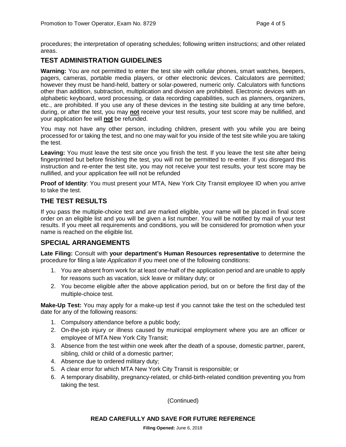procedures; the interpretation of operating schedules; following written instructions; and other related areas.

# **TEST ADMINISTRATION GUIDELINES**

**Warning:** You are not permitted to enter the test site with cellular phones, smart watches, beepers, pagers, cameras, portable media players, or other electronic devices. Calculators are permitted; however they must be hand-held, battery or solar-powered, numeric only. Calculators with functions other than addition, subtraction, multiplication and division are prohibited. Electronic devices with an alphabetic keyboard, word processing, or data recording capabilities, such as planners, organizers, etc., are prohibited. If you use any of these devices in the testing site building at any time before, during, or after the test, you may **not** receive your test results, your test score may be nullified, and your application fee will **not** be refunded.

You may not have any other person, including children, present with you while you are being processed for or taking the test, and no one may wait for you inside of the test site while you are taking the test.

Leaving: You must leave the test site once you finish the test. If you leave the test site after being fingerprinted but before finishing the test, you will not be permitted to re-enter. If you disregard this instruction and re-enter the test site, you may not receive your test results, your test score may be nullified, and your application fee will not be refunded

**Proof of Identity**: You must present your MTA, New York City Transit employee ID when you arrive to take the test.

#### **THE TEST RESULTS**

If you pass the multiple-choice test and are marked eligible, your name will be placed in final score order on an eligible list and you will be given a list number. You will be notified by mail of your test results. If you meet all requirements and conditions, you will be considered for promotion when your name is reached on the eligible list.

#### **SPECIAL ARRANGEMENTS**

**Late Filing:** Consult with **your department's Human Resources representative** to determine the procedure for filing a late *Application* if you meet one of the following conditions:

- 1. You are absent from work for at least one-half of the application period and are unable to apply for reasons such as vacation, sick leave or military duty; or
- 2. You become eligible after the above application period, but on or before the first day of the multiple-choice test.

**Make-Up Test:** You may apply for a make-up test if you cannot take the test on the scheduled test date for any of the following reasons:

- 1. Compulsory attendance before a public body;
- 2. On-the-job injury or illness caused by municipal employment where you are an officer or employee of MTA New York City Transit;
- 3. Absence from the test within one week after the death of a spouse, domestic partner, parent, sibling, child or child of a domestic partner;
- 4. Absence due to ordered military duty;
- 5. A clear error for which MTA New York City Transit is responsible; or
- 6. A temporary disability, pregnancy-related, or child-birth-related condition preventing you from taking the test.

(Continued)